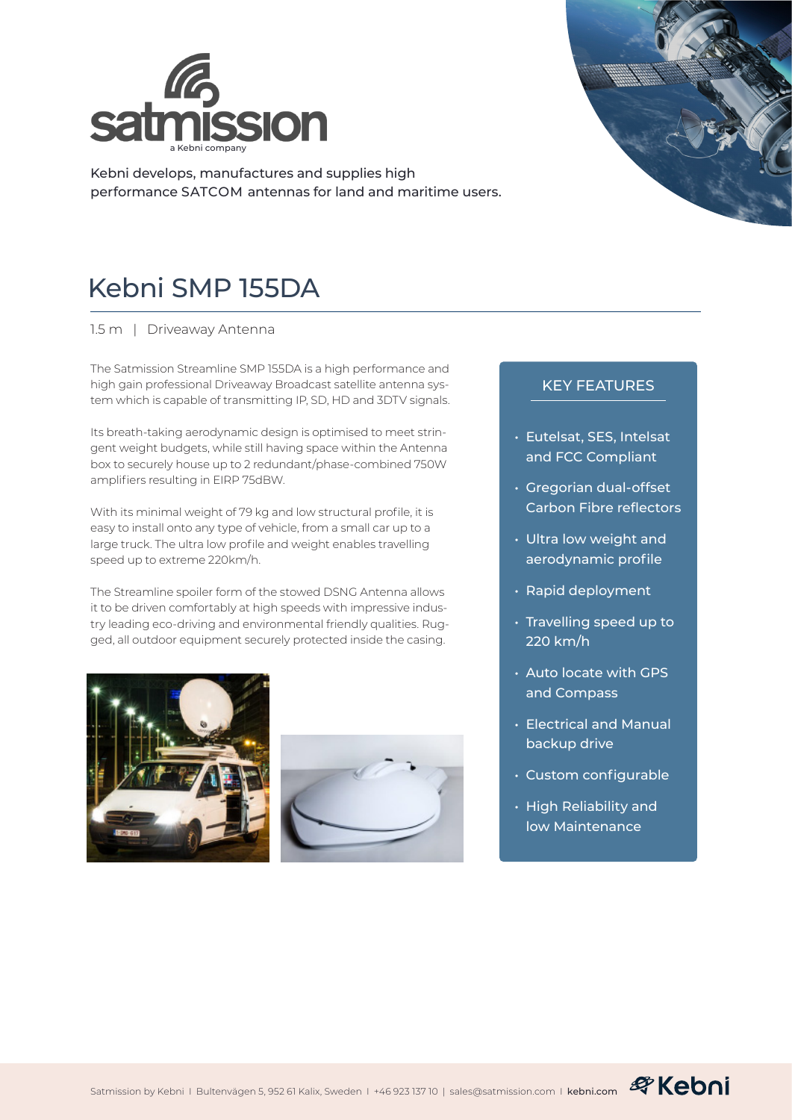

Kebni develops, manufactures and supplies high performance SATCOM antennas for land and maritime users.



1.5 m | Driveaway Antenna

The Satmission Streamline SMP 155DA is a high performance and high gain professional Driveaway Broadcast satellite antenna system which is capable of transmitting IP, SD, HD and 3DTV signals.

Its breath-taking aerodynamic design is optimised to meet stringent weight budgets, while still having space within the Antenna box to securely house up to 2 redundant/phase-combined 750W amplifiers resulting in EIRP 75dBW.

With its minimal weight of 79 kg and low structural profile, it is easy to install onto any type of vehicle, from a small car up to a large truck. The ultra low profile and weight enables travelling speed up to extreme 220km/h.

The Streamline spoiler form of the stowed DSNG Antenna allows it to be driven comfortably at high speeds with impressive industry leading eco-driving and environmental friendly qualities. Rugged, all outdoor equipment securely protected inside the casing.





## KEY FEATURES

- Eutelsat, SES, Intelsat and FCC Compliant
- Gregorian dual-offset Carbon Fibre reflectors
- Ultra low weight and aerodynamic profile
- Rapid deployment
- Travelling speed up to 220 km/h
- Auto locate with GPS and Compass
- Electrical and Manual backup drive
- Custom configurable
- High Reliability and low Maintenance